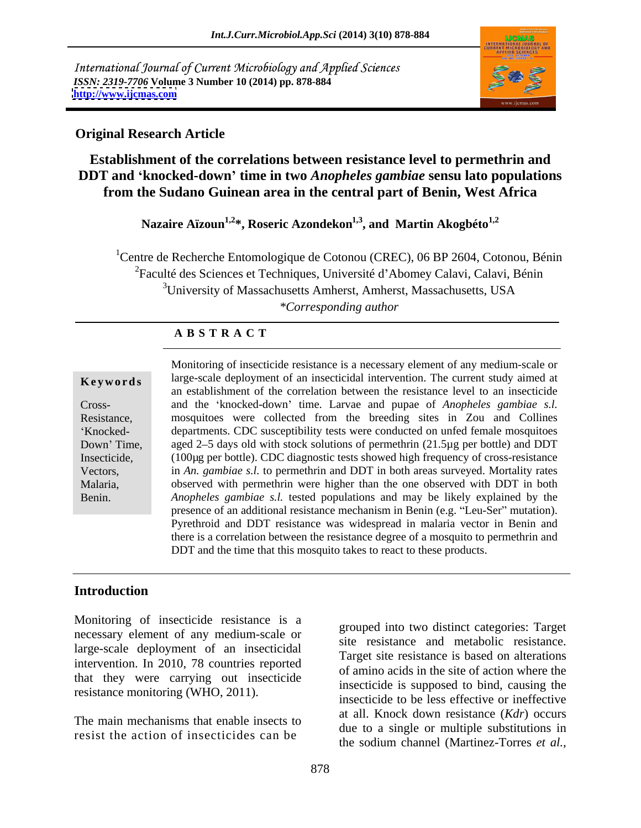International Journal of Current Microbiology and Applied Sciences *ISSN: 2319-7706* **Volume 3 Number 10 (2014) pp. 878-884 <http://www.ijcmas.com>**



### **Original Research Article**

**Establishment of the correlations between resistance level to permethrin and DDT and knocked-down time in two** *Anopheles gambiae* **sensu lato populations from the Sudano Guinean area in the central part of Benin, West Africa**

Nazaire Aïzoun<sup>1,2\*</sup>, Roseric Azondekon<sup>1,3</sup>, and Martin Akogbéto<sup>1,2</sup>

<sup>1</sup>Centre de Recherche Entomologique de Cotonou (CREC), 06 BP 2604, Cotonou, Bénin <sup>2</sup>Faculté des Sciences et Techniques, Université d'Abomey Calavi, Calavi, Bénin <sup>3</sup>University of Massachusetts Amherst, Amherst, Massachusetts, USA *\*Corresponding author* 

### **A B S T R A C T**

**Keywords** large-scale deployment of an insecticidal intervention. The current study aimed at Cross- and the knocked-down time. Larvae and pupae of *Anopheles gambiae s.l.* Resistance, mosquitoes were collected from the breeding sites in Zou and Collines Knocked- departments. CDC susceptibility tests were conducted on unfed female mosquitoes Down' Time, aged 2–5 days old with stock solutions of permethrin (21.5µg per bottle) and DDT Insecticide, (100µg per bottle). CDC diagnostic tests showed high frequency of cross-resistance Vectors, in *An. gambiae s.l.* to permethrin and DDT in both areas surveyed. Mortality rates Malaria, observed with permethrin were higher than the one observed with DDT in both Benin. *Anopheles gambiae s.l.* tested populations and may be likely explained by the Monitoring of insecticide resistance is a necessary element of any medium-scale or an establishment of the correlation between the resistance level to an insecticide presence of an additional resistance mechanism in Benin (e.g. "Leu-Ser" mutation). Pyrethroid and DDT resistance was widespread in malaria vector in Benin and there is a correlation between the resistance degree of a mosquito to permethrin and DDT and the time that this mosquito takes to react to these products.

## **Introduction**

Monitoring of insecticide resistance is a necessary element of any medium-scale or large-scale deployment of an insecticidal intervention. In 2010, 78 countries reported that they were carrying out insecticide resistance monitoring (WHO, 2011).

The main mechanisms that enable insects to resist the action of insecticides can be

grouped into two distinct categories: Target site resistance and metabolic resistance. Target site resistance is based on alterations of amino acids in the site of action where the insecticide is supposed to bind, causing the insecticide to be less effective or ineffective at all. Knock down resistance (*Kdr*) occurs due to a single or multiple substitutions in the sodium channel (Martinez-Torres *et al.,*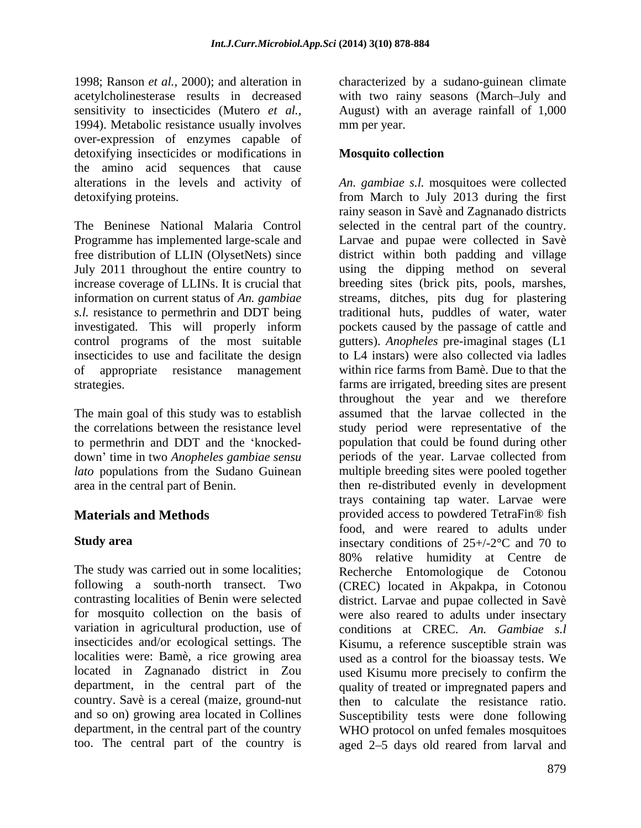1998; Ranson *et al.,* 2000); and alteration in characterized by a sudano-guinean climate acetylcholinesterase results in decreased with two rainy seasons (March July and sensitivity to insecticides (Mutero *et al.,* August) with an average rainfall of 1,000 1994). Metabolic resistance usually involves mm per year. over-expression of enzymes capable of detoxifying insecticides or modifications in **Mosquito collection** the amino acid sequences that cause

free distribution of LLIN (OlysetNets) since control programs of the most suitable insecticides to use and facilitate the design of appropriate resistance management

The main goal of this study was to establish

mm per year.

## **Mosquito collection**

alterations in the levels and activity of *An. gambiae s.l.* mosquitoes were collected detoxifying proteins. from March to July 2013 during the first The Beninese National Malaria Control selected in the central part of the country. Programme has implemented large-scale and Larvae and pupae were collected in Savè July 2011 throughout the entire country to using the dipping method on several increase coverage of LLINs. It is crucial that breeding sites (brick pits, pools, marshes, information on current status of *An. gambiae* streams, ditches, pits dug for plastering *s.l.* resistance to permethrin and DDT being traditional huts, puddles of water, water investigated. This will properly inform pockets caused by the passage of cattle and strategies. farms are irrigated, breeding sites are present the correlations between the resistance level study period were representative of the to permethrin and DDT and the 'knocked- population that could be found during other down time in two *Anopheles gambiae sensu* periods of the year. Larvae collected from *lato* populations from the Sudano Guinean multiple breeding sites were pooled together area in the central part of Benin. then re-distributed evenly in development **Materials and Methods provided access to powdered TetraFin®** fish **Study area** insectary conditions of 25+/-2<sup>o</sup>C and 70 to The study was carried out in some localities; Recherche Entomologique de Cotonou following a south-north transect. Two (CREC) located in Akpakpa, in Cotonou contrasting localities of Benin were selected district. Larvae and pupae collected in Savè for mosquito collection on the basis of were also reared to adults under insectary variation in agricultural production, use of conditions at CREC. *An. Gambiae s.l* insecticides and/or ecological settings. The Kisumu, a reference susceptible strain was localities were: Bamè, a rice growing area used as a control for the bioassay tests. We located in Zagnanado district in Zou used Kisumu more precisely to confirm the department, in the central part of the quality of treated or impregnated papers and country. Savè is a cereal (maize, ground-nut then to calculate the resistance ratio. and so on) growing area located in Collines Susceptibility tests were done following department, in the central part of the country WHO protocol on unfed females mosquitoes too. The central part of the country is  $\qquad$  aged 2–5 days old reared from larval and rainy season in Savè and Zagnanado districts district within both padding and village gutters). *Anopheles* pre-imaginal stages (L1 to L4 instars) were also collected via ladles within rice farms from Bamè. Due to that the throughout the year and we therefore assumed that the larvae collected in the trays containing tap water. Larvae were food, and were reared to adults under 80% relative humidity at Centre de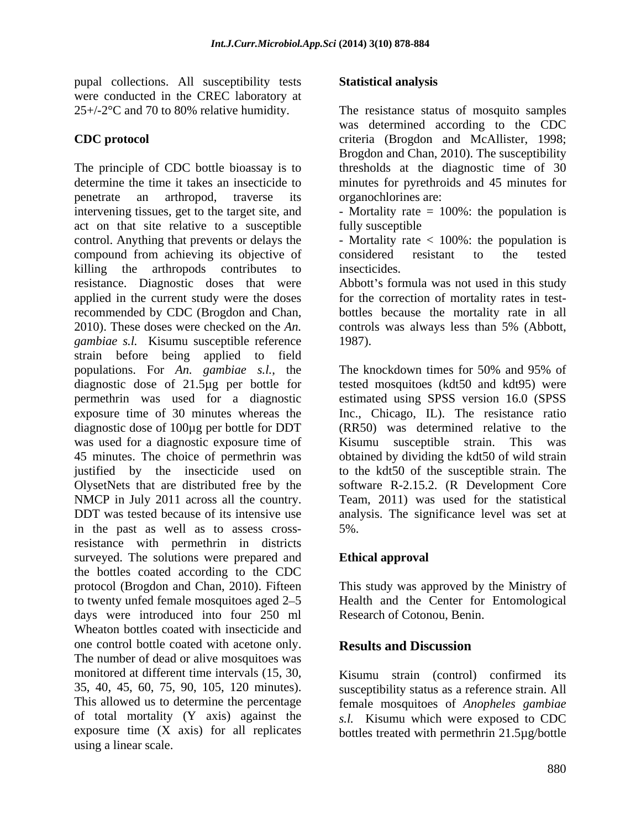pupal collections. All susceptibility tests were conducted in the CREC laboratory at  $25+/2^{\circ}C$  and 70 to 80% relative humidity.

The principle of CDC bottle bioassay is to thresholds at the diagnostic time of 30 determine the time it takes an insecticide to minutes for pyrethroids and 45 minutes for penetrate an arthropod, traverse its intervening tissues, get to the target site, and - Mortality rate = 100%: the population is act on that site relative to a susceptible control. Anything that prevents or delays the - Mortality rate < 100%: the population is compound from achieving its objective of considered resistant to the tested killing the arthropods contributes to insecticides. resistance. Diagnostic doses that were applied in the current study were the doses recommended by CDC (Brogdon and Chan, bottles because the mortality rate in all 2010). These doses were checked on the *An.*  controls was always less than 5% (Abbott, *gambiae s.l.* Kisumu susceptible reference 1987). strain before being applied to field populations. For *An. gambiae s.l.*, the diagnostic dose of 21.5µg per bottle for permethrin was used for a diagnostic estimated using SPSS version 16.0 (SPSS exposure time of 30 minutes whereas the Inc., Chicago, IL). The resistance ratio diagnostic dose of 100µg per bottle for DDT was used for a diagnostic exposure time of Kisumu susceptible strain. This was 45 minutes. The choice of permethrin was obtained by dividing the kdt50 of wild strain justified by the insecticide used on to the kdt50 of the susceptible strain. The OlysetNets that are distributed free by the NMCP in July 2011 across all the country. Team, 2011) was used for the statistical DDT was tested because of its intensive use analysis. The significance level was set at in the past as well as to assess crossresistance with permethrin in districts surveyed. The solutions were prepared and the bottles coated according to the CDC protocol (Brogdon and Chan, 2010). Fifteen This study was approved by the Ministry of to twenty unfed female mosquitoes aged 2–5 Health and the Center for Entomological days were introduced into four 250 ml Wheaton bottles coated with insecticide and one control bottle coated with acetone only. **Results and Discussion** The number of dead or alive mosquitoes was monitored at different time intervals (15, 30, 35, 40, 45, 60, 75, 90, 105, 120 minutes). susceptibility status as a reference strain. All This allowed us to determine the percentage female mosquitoes of *Anopheles gambiae* of total mortality (Y axis) against the *s.l.* Kisumu which were exposed to CDC exposure time  $(X \text{ axis})$  for all replicates bottles treated with permethrin 21.5 $\mu$ g/bottle using a linear scale.

## **Statistical analysis**

25+/-2°C and 70 to 80% relative humidity. The resistance status of mosquito samples **CDC protocol** criteria (Brogdon and McAllister, 1998; was determined according to the CDC Brogdon and Chan, 2010). The susceptibility organochlorines are:

fully susceptible that the state of  $\mathcal{L}$ 

considered resistant to the tested insecticides.

Abbott's formula was not used in this study for the correction of mortality rates in test- 1987).

The knockdown times for 50% and 95% of tested mosquitoes (kdt50 and kdt95) were (RR50) was determined relative to the Kisumu susceptible strain. software R-2.15.2. (R Development Core 5%.

# **Ethical approval**

Research of Cotonou, Benin.

# **Results and Discussion**

Kisumu strain (control) confirmed its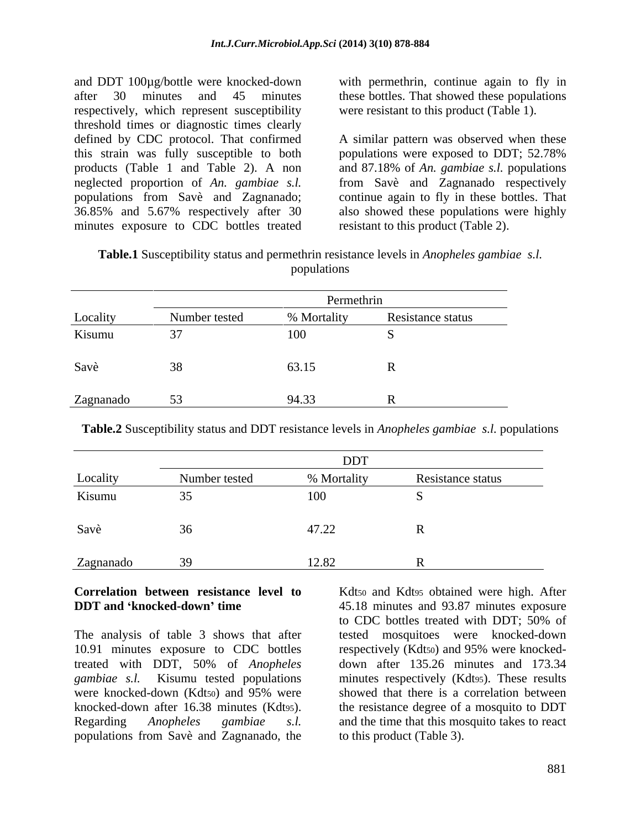respectively, which represent susceptibility threshold times or diagnostic times clearly this strain was fully susceptible to both populations were exposed to DDT; 52.78% products (Table 1 and Table 2). A non neglected proportion of *An. gambiae s.l.* minutes exposure to CDC bottles treated

and DDT 100µg/bottle were knocked-down with permethrin, continue again to fly in after 30 minutes and 45 minutes these bottles. That showed these populations were resistant to this product (Table 1).

defined by CDC protocol. That confirmed A similar pattern was observed when these populations from Savè and Zagnanado; continue again to fly in these bottles. That 36.85% and 5.67% respectively after 30 also showed these populations were highly populations were exposed to DDT; 52.78% and 87.18% of *An. gambiae s.l.* populations from Savè and Zagnanado respectively resistant to this product (Table 2).

**Table.1** Susceptibility status and permethrin resistance levels in *Anopheles gambiae s.l.* populations and the contract of the contract of the contract of the contract of the contract of the contract of the contract of the contract of the contract of the contract of the contract of the contract of the contract o

|           | Permethrin    |             |                   |
|-----------|---------------|-------------|-------------------|
| Locality  | Number tested | % Mortality | Resistance status |
| Kisumu    |               | <b>100</b>  |                   |
| Savè      | 38            | 63.15       |                   |
| Zagnanado | 53            | 94.33       |                   |

**Table.2** Susceptibility status and DDT resistance levels in *Anopheles gambiae s.l.* populations

|           | <b>DDT</b>    |             |                   |
|-----------|---------------|-------------|-------------------|
| Locality  | Number tested | % Mortality | Resistance status |
| Kisumu    |               | 100         |                   |
| Savè      |               | 47.22       |                   |
| Zagnanado |               | 12.82       |                   |

The analysis of table 3 shows that after tested mosquitoes were knocked-down 10.91 minutes exposure to CDC bottles respectively (Kdt50) and 95% were knocked treated with DDT, 50% of *Anopheles gambiae s.l.* Kisumu tested populations minutes respectively (Kdt95). These results were knocked-down (Kdtso) and 95% were showed that there is a correlation between knocked-down after 16.38 minutes (Kdt95). The resistance degree of a mosquito to DDT Regarding *Anopheles gambiae s.l.* and the time that this mosquito takes to react populations from Savè and Zagnanado, the

**Correlation between resistance level to** Kdt50 and Kdt95 obtained were high. After **DDT** and **knocked-down time** 45.18 minutes and 93.87 minutes exposure to CDC bottles treated with DDT; 50% of down after 135.26 minutes and 173.34 showed that there is a correlation between to this product (Table 3).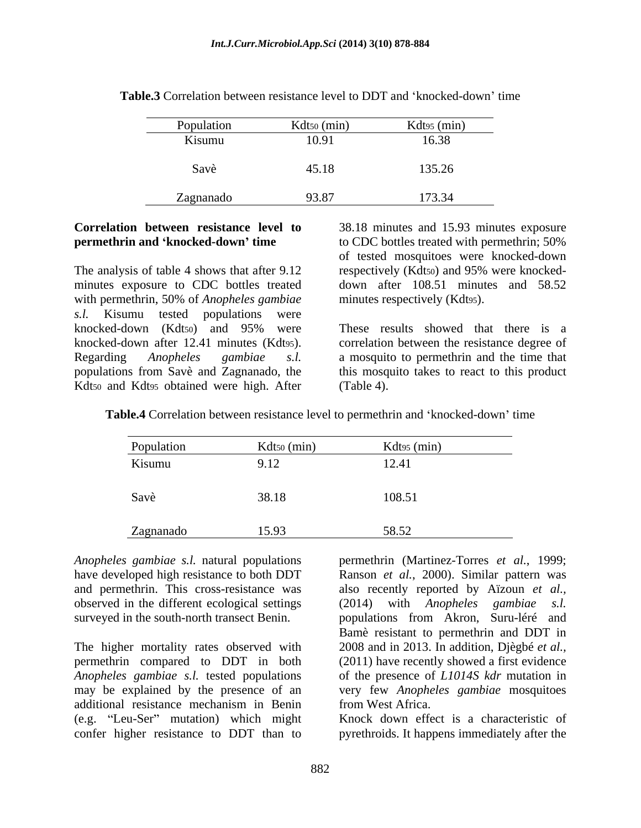| Population | Kdt <sub>50</sub> (min) | Kdt $\frac{1}{2}$ (min) |
|------------|-------------------------|-------------------------|
| Kisumu     | 10.91                   | 16.38                   |
| Savè       | 45.18                   | 135.26                  |
| Zagnanado  | 93.87                   | 173.3/<br>11J.J         |

**Table.3** Correlation between resistance level to DDT and 'knocked-down' time

The analysis of table 4 shows that after 9.12 respectively (Kdtso) and 95% were knockedminutes exposure to CDC bottles treated with permethrin, 50% of *Anopheles gambiae s.l.* Kisumu tested populations were Kdt<sub>50</sub> and Kdt<sub>95</sub> obtained were high. After (Table 4).

**Correlation between resistance level to** 38.18 minutes and 15.93 minutes exposure **permethrin and 'knocked-down' time** to CDC bottles treated with permethrin; 50% of tested mosquitoes were knocked-down down after 108.51 minutes and 58.52 minutes respectively (Kdt95).

knocked-down (Kdtso) and 95% were These results showed that there is a knocked-down after 12.41 minutes (Kdt95). correlation between the resistance degree of Regarding *Anopheles gambiae s.l.* a mosquito to permethrin and the time that populations from Savè and Zagnanado, the this mosquito takes to react to this product These results showed that there is a (Table 4).

**Table.4** Correlation between resistance level to permethrin and 'knocked-down' time

| Population | Kdt <sub>50</sub> (min) | Kdt95 (min) |
|------------|-------------------------|-------------|
| Kisumu     | 9.12                    | 12.41       |
| Savè       | 38.18                   | 108.51      |
| Zagnanado  | 15.93                   | 58.52       |

*Anopheles gambiae s.l.* natural populations permethrin (Martinez-Torres *et al.*, 1999; have developed high resistance to both DDT Ranson *et al.*, 2000). Similar pattern was and permethrin. This cross-resistance was also recently reported by Aïzoun *et al.,* observed in the different ecological settings (2014) with Anopheles gambiae s.l. surveyed in the south-north transect Benin. populations from Akron, Suru-léré and

The higher mortality rates observed with permethrin compared to DDT in both (2011) have recently showed a first evidence *Anopheles gambiae s.l.* tested populations of the presence of *L1014S kdr* mutation in may be explained by the presence of an very few *Anopheles gambiae* mosquitoes additional resistance mechanism in Benin (e.g. "Leu-Ser" mutation) which might

(2014) with *Anopheles gambiae s.l.* Bamè resistant to permethrin and DDT in 2008 and in 2013. In addition, Djègbé *et al.,* from West Africa.

confer higher resistance to DDT than to pyrethroids. It happens immediately after theKnock down effect is a characteristic of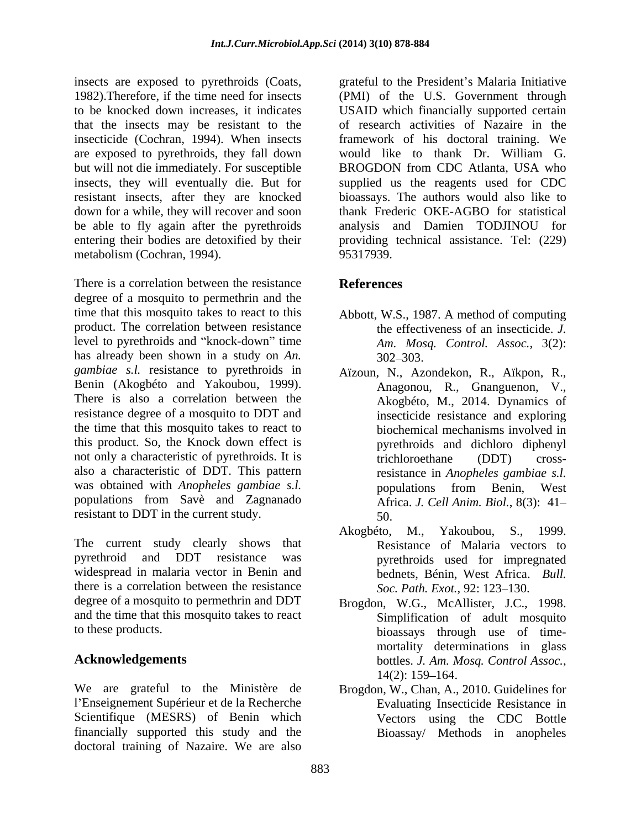insecticide (Cochran, 1994). When insects are exposed to pyrethroids, they fall down would like to thank Dr. William G. be able to fly again after the pyrethroids metabolism (Cochran, 1994). 95317939.

There is a correlation between the resistance **References** degree of a mosquito to permethrin and the time that this mosquito takes to react to this product. The correlation between resistance level to pyrethroids and "knock-down" time has already been shown in a study on *An*.  $302-303$ . *gambiae s.l.* resistance to pyrethroids in Benin (Akogbéto and Yakoubou, 1999). resistance degree of a mosquito to DDT and the time that this mosquito takes to react to this product. So, the Knock down effect is not only a characteristic of pyrethroids. It is trichloroethane (DDT) crossalso a characteristic of DDT. This pattern was obtained with *Anopheles gambiae s.l.* populations from Benin. West populations from Savè and Zagnanado resistant to DDT in the current study. 50

The current study clearly shows that pyrethroid and DDT resistance was pyrethroids used for impregnated widespread in malaria vector in Benin and there is a correlation between the resistance degree of a mosquito to permethrin and DDT Brogdon, W.G., McAllister, J.C., 1998. and the time that this mosquito takes to react

We are grateful to the Ministère de Brogdon, W., Chan, A., 2010. Guidelines for l'Enseignement Supérieur et de la Recherche Scientifique (MESRS) of Benin which financially supported this study and the doctoral training of Nazaire. We are also

insects are exposed to pyrethroids (Coats, grateful to the President's Malaria Initiative 1982).Therefore, if the time need for insects (PMI) of the U.S. Government through to be knocked down increases, it indicates USAID which financially supported certain that the insects may be resistant to the of research activities of Nazaire in the but will not die immediately. For susceptible BROGDON from CDC Atlanta, USA who insects, they will eventually die. But for supplied us the reagents used for CDC resistant insects, after they are knocked bioassays. The authors would also like to down for a while, they will recover and soon thank Frederic OKE-AGBO for statistical entering their bodies are detoxified by their providing technical assistance. Tel: (229) framework of his doctoral training. We would like to thank Dr. William G. analysis and Damien TODJINOU for 95317939.

# **References**

- Abbott, W.S., 1987. A method of computing the effectiveness of an insecticide. *J. Am. Mosq. Control. Assoc.*, 3(2):  $302 - 303$ .
- There is also a correlation between the Akogbéto, M., 2014. Dynamics of Aïzoun, N., Azondekon, R., Aïkpon, R., Anagonou, R., Gnanguenon, V., insecticide resistance and exploring biochemical mechanisms involved in pyrethroids and dichloro diphenyl trichloroethane (DDT) crossresistance in *Anopheles gambiae s.l.* populations from Benin, West Africa. *J. Cell Anim. Biol.*, 8(3): 41 50.
	- Akogbéto, M., Yakoubou, S., 1999. Resistance of Malaria vectors to bednets, Bénin, West Africa. *Bull. Soc. Path. Exot.*, 92: 123–130.
- to these products. bioassays through use of time- **Acknowledgements** bottles. J. Am. Mosq. Control Assoc., Simplification of adult mosquito mortality determinations in glass bottles. *J. Am. Mosq. Control Assoc.*, 14(2): 159–164.
	- Evaluating Insecticide Resistance in Vectors using the CDC Bottle Bioassay/ Methods in anopheles